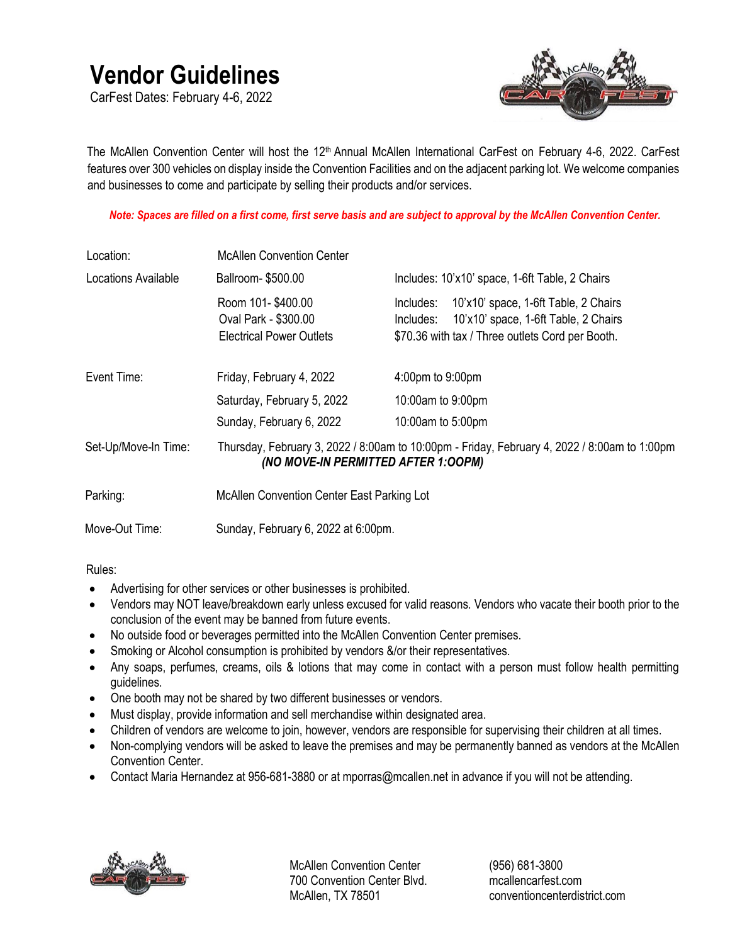## **Vendor Guidelines**

CarFest Dates: February 4-6, 2022



The McAllen Convention Center will host the 12<sup>th</sup> Annual McAllen International CarFest on February 4-6, 2022. CarFest features over 300 vehicles on display inside the Convention Facilities and on the adjacent parking lot. We welcome companies and businesses to come and participate by selling their products and/or services.

*Note: Spaces are filled on a first come, first serve basis and are subject to approval by the McAllen Convention Center.*

| Location:            | <b>McAllen Convention Center</b>                                             |                                                                                                                                                            |  |
|----------------------|------------------------------------------------------------------------------|------------------------------------------------------------------------------------------------------------------------------------------------------------|--|
| Locations Available  | Ballroom-\$500.00                                                            | Includes: 10'x10' space, 1-6ft Table, 2 Chairs                                                                                                             |  |
|                      | Room 101-\$400.00<br>Oval Park - \$300.00<br><b>Electrical Power Outlets</b> | 10'x10' space, 1-6ft Table, 2 Chairs<br>Includes:<br>10'x10' space, 1-6ft Table, 2 Chairs<br>Includes:<br>\$70.36 with tax / Three outlets Cord per Booth. |  |
| Event Time:          | Friday, February 4, 2022                                                     | 4:00pm to 9:00pm                                                                                                                                           |  |
|                      | Saturday, February 5, 2022                                                   | 10:00am to 9:00pm                                                                                                                                          |  |
|                      | Sunday, February 6, 2022                                                     | 10:00am to 5:00pm                                                                                                                                          |  |
| Set-Up/Move-In Time: | (NO MOVE-IN PERMITTED AFTER 1:00PM)                                          | Thursday, February 3, 2022 / 8:00am to 10:00pm - Friday, February 4, 2022 / 8:00am to 1:00pm                                                               |  |
| Parking:             | McAllen Convention Center East Parking Lot                                   |                                                                                                                                                            |  |
| Move-Out Time:       | Sunday, February 6, 2022 at 6:00pm.                                          |                                                                                                                                                            |  |

Rules:

- Advertising for other services or other businesses is prohibited.
- Vendors may NOT leave/breakdown early unless excused for valid reasons. Vendors who vacate their booth prior to the conclusion of the event may be banned from future events.
- No outside food or beverages permitted into the McAllen Convention Center premises.
- Smoking or Alcohol consumption is prohibited by vendors &/or their representatives.
- Any soaps, perfumes, creams, oils & lotions that may come in contact with a person must follow health permitting guidelines.
- One booth may not be shared by two different businesses or vendors.
- Must display, provide information and sell merchandise within designated area.
- Children of vendors are welcome to join, however, vendors are responsible for supervising their children at all times.
- Non-complying vendors will be asked to leave the premises and may be permanently banned as vendors at the McAllen Convention Center.
- Contact Maria Hernandez at 956-681-3880 or at mporras@mcallen.net in advance if you will not be attending.



McAllen Convention Center 700 Convention Center Blvd. McAllen, TX 78501

(956) 681-3800 mcallencarfest.com conventioncenterdistrict.com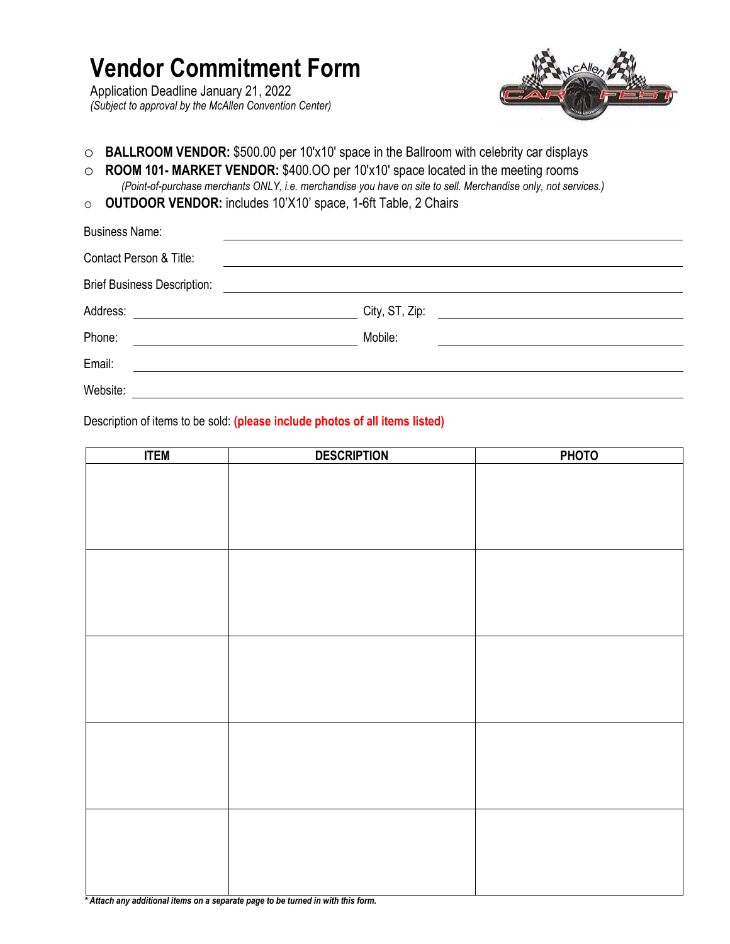## **Vendor Commitment Form**

Application Deadline January 21, 2022 *(Subject to approval by the McAllen Convention Center)*



- o **BALLROOM VENDOR:** \$500.00 per 10'x10' space in the Ballroom with celebrity car displays
- o **ROOM 101- MARKET VENDOR:** \$400.OO per 10'x10' space located in the meeting rooms *(Point-of-purchase merchants ONLY, i.e. merchandise you have on site to sell. Merchandise only, not services.)*
- o **OUTDOOR VENDOR:** includes 10'X10' space, 1-6ft Table, 2 Chairs

| <b>Business Name:</b>              |                                                                                                                                                                                                                                                                  |
|------------------------------------|------------------------------------------------------------------------------------------------------------------------------------------------------------------------------------------------------------------------------------------------------------------|
| Contact Person & Title:            |                                                                                                                                                                                                                                                                  |
| <b>Brief Business Description:</b> | <u> 1989 - John Stein, Amerikaansk politiker (</u>                                                                                                                                                                                                               |
| Address:                           | City, ST, Zip:<br><u> Alexandria (Carlo Carlo Carlo Carlo Carlo Carlo Carlo Carlo Carlo Carlo Carlo Carlo Carlo Carlo Carlo Carlo Ca</u><br><u> 1989 - Andrea Albert III, politik a postal de la provincia de la provincia de la provincia de la provincia d</u> |
| Phone:                             | Mobile:<br><u> The Communication of the Communication of the Communication of the Communication of the Communication of the Communication of the Communication of the Communication of the Communication of the Communication of the Commun</u>                  |
| Email:                             |                                                                                                                                                                                                                                                                  |
| Website:                           |                                                                                                                                                                                                                                                                  |

Description of items to be sold: **(please include photos of all items listed)**

*\* Attach any additional items on a separate page to be turned in with this form.*

| <b>ITEM</b> | <b>DESCRIPTION</b> | <b>PHOTO</b> |
|-------------|--------------------|--------------|
|             |                    |              |
|             |                    |              |
|             |                    |              |
|             |                    |              |
|             |                    |              |
|             |                    |              |
|             |                    |              |
|             |                    |              |
|             |                    |              |
|             |                    |              |
|             |                    |              |
|             |                    |              |
|             |                    |              |
|             |                    |              |
|             |                    |              |
|             |                    |              |
|             |                    |              |
|             |                    |              |
|             |                    |              |
|             |                    |              |
|             |                    |              |
|             |                    |              |
|             |                    |              |